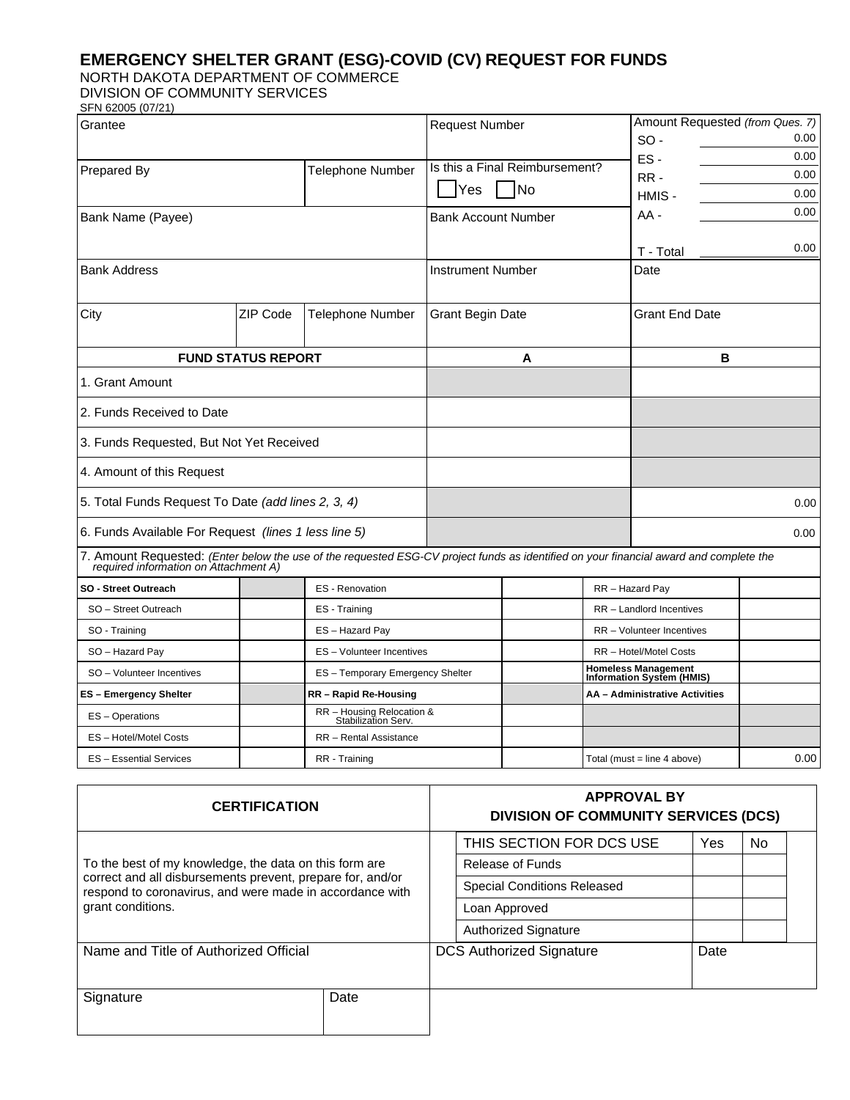## **EMERGENCY SHELTER GRANT (ESG)-COVID (CV) REQUEST FOR FUNDS**

NORTH DAKOTA DEPARTMENT OF COMMERCE

DIVISION OF COMMUNITY SERVICES

| Grantee                                                                                                                     |                                                  | <b>Request Number</b>    |                                         |                                              | Amount Requested (from Ques. 7) |                                                                |                                                                                                                                                                                                                              |
|-----------------------------------------------------------------------------------------------------------------------------|--------------------------------------------------|--------------------------|-----------------------------------------|----------------------------------------------|---------------------------------|----------------------------------------------------------------|------------------------------------------------------------------------------------------------------------------------------------------------------------------------------------------------------------------------------|
|                                                                                                                             |                                                  |                          |                                         |                                              | $SO -$                          |                                                                | 0.00                                                                                                                                                                                                                         |
|                                                                                                                             |                                                  |                          |                                         |                                              |                                 |                                                                | 0.00                                                                                                                                                                                                                         |
| Prepared By                                                                                                                 |                                                  |                          |                                         |                                              | RR-                             |                                                                | 0.00                                                                                                                                                                                                                         |
|                                                                                                                             |                                                  |                          |                                         | HMIS -                                       |                                 | 0.00                                                           |                                                                                                                                                                                                                              |
|                                                                                                                             |                                                  |                          |                                         |                                              | AA -                            |                                                                | 0.00                                                                                                                                                                                                                         |
|                                                                                                                             |                                                  |                          |                                         |                                              | T - Total                       |                                                                | 0.00                                                                                                                                                                                                                         |
| <b>Bank Address</b>                                                                                                         |                                                  | <b>Instrument Number</b> |                                         |                                              | Date                            |                                                                |                                                                                                                                                                                                                              |
| <b>ZIP Code</b>                                                                                                             | <b>Telephone Number</b>                          | <b>Grant Begin Date</b>  |                                         |                                              | <b>Grant End Date</b>           |                                                                |                                                                                                                                                                                                                              |
| <b>FUND STATUS REPORT</b>                                                                                                   |                                                  |                          |                                         |                                              | в                               |                                                                |                                                                                                                                                                                                                              |
| 1. Grant Amount                                                                                                             |                                                  |                          |                                         |                                              |                                 |                                                                |                                                                                                                                                                                                                              |
| 2. Funds Received to Date                                                                                                   |                                                  |                          |                                         |                                              |                                 |                                                                |                                                                                                                                                                                                                              |
| 3. Funds Requested, But Not Yet Received<br>4. Amount of this Request<br>5. Total Funds Request To Date (add lines 2, 3, 4) |                                                  |                          |                                         |                                              |                                 |                                                                |                                                                                                                                                                                                                              |
|                                                                                                                             |                                                  |                          |                                         |                                              |                                 |                                                                |                                                                                                                                                                                                                              |
|                                                                                                                             |                                                  |                          |                                         |                                              | 0.00                            |                                                                |                                                                                                                                                                                                                              |
| 6. Funds Available For Request (lines 1 less line 5)                                                                        |                                                  |                          |                                         |                                              | 0.00                            |                                                                |                                                                                                                                                                                                                              |
| required information on Attachment A)                                                                                       |                                                  |                          |                                         |                                              |                                 |                                                                |                                                                                                                                                                                                                              |
|                                                                                                                             | <b>ES</b> - Renovation                           |                          |                                         |                                              | RR - Hazard Pay                 |                                                                |                                                                                                                                                                                                                              |
|                                                                                                                             | ES - Training                                    |                          |                                         |                                              |                                 |                                                                |                                                                                                                                                                                                                              |
|                                                                                                                             | ES-Hazard Pay                                    |                          |                                         | RR - Volunteer Incentives                    |                                 |                                                                |                                                                                                                                                                                                                              |
|                                                                                                                             |                                                  |                          |                                         | RR - Hotel/Motel Costs                       |                                 |                                                                |                                                                                                                                                                                                                              |
|                                                                                                                             | ES - Temporary Emergency Shelter                 |                          |                                         |                                              |                                 |                                                                |                                                                                                                                                                                                                              |
|                                                                                                                             | RR - Rapid Re-Housing                            |                          |                                         |                                              |                                 |                                                                |                                                                                                                                                                                                                              |
|                                                                                                                             | RR - Housing Relocation &<br>Stabilization Serv. |                          |                                         |                                              |                                 |                                                                |                                                                                                                                                                                                                              |
|                                                                                                                             | RR - Rental Assistance                           |                          |                                         |                                              |                                 |                                                                |                                                                                                                                                                                                                              |
|                                                                                                                             | RR - Training                                    |                          |                                         |                                              |                                 |                                                                | 0.00                                                                                                                                                                                                                         |
|                                                                                                                             |                                                  | <b>Telephone Number</b>  | <b>Yes</b><br>ES - Volunteer Incentives | <b>No</b><br><b>Bank Account Number</b><br>A | Is this a Final Reimbursement?  | ES-<br>RR - Landlord Incentives<br>Total (must = line 4 above) | 7. Amount Requested: (Enter below the use of the requested ESG-CV project funds as identified on your financial award and complete the<br>Homeless Management<br>Information System (HMIS)<br>AA - Administrative Activities |

| <b>CERTIFICATION</b>                                                                                                                                                                                  |      |                             | <b>APPROVAL BY</b><br><b>DIVISION OF COMMUNITY SERVICES (DCS)</b> |     |      |  |  |  |
|-------------------------------------------------------------------------------------------------------------------------------------------------------------------------------------------------------|------|-----------------------------|-------------------------------------------------------------------|-----|------|--|--|--|
| To the best of my knowledge, the data on this form are<br>correct and all disbursements prevent, prepare for, and/or<br>respond to coronavirus, and were made in accordance with<br>grant conditions. |      |                             | THIS SECTION FOR DCS USE                                          | Yes | No.  |  |  |  |
|                                                                                                                                                                                                       |      |                             | Release of Funds                                                  |     |      |  |  |  |
|                                                                                                                                                                                                       |      |                             | <b>Special Conditions Released</b>                                |     |      |  |  |  |
|                                                                                                                                                                                                       |      |                             | Loan Approved                                                     |     |      |  |  |  |
|                                                                                                                                                                                                       |      | <b>Authorized Signature</b> |                                                                   |     |      |  |  |  |
| Name and Title of Authorized Official                                                                                                                                                                 |      |                             | <b>DCS Authorized Signature</b>                                   |     | Date |  |  |  |
| Signature                                                                                                                                                                                             | Date |                             |                                                                   |     |      |  |  |  |